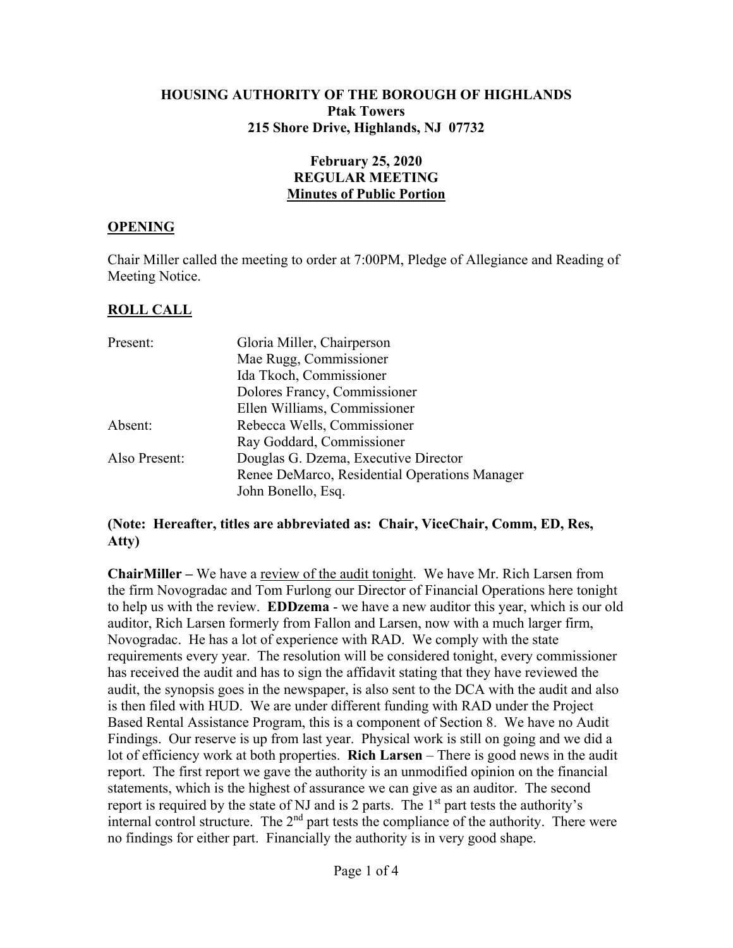#### **HOUSING AUTHORITY OF THE BOROUGH OF HIGHLANDS Ptak Towers 215 Shore Drive, Highlands, NJ 07732**

### **February 25, 2020 REGULAR MEETING Minutes of Public Portion**

#### **OPENING**

Chair Miller called the meeting to order at 7:00PM, Pledge of Allegiance and Reading of Meeting Notice.

### **ROLL CALL**

| Present:      | Gloria Miller, Chairperson                    |
|---------------|-----------------------------------------------|
|               | Mae Rugg, Commissioner                        |
|               | Ida Tkoch, Commissioner                       |
|               | Dolores Francy, Commissioner                  |
|               | Ellen Williams, Commissioner                  |
| Absent:       | Rebecca Wells, Commissioner                   |
|               | Ray Goddard, Commissioner                     |
| Also Present: | Douglas G. Dzema, Executive Director          |
|               | Renee DeMarco, Residential Operations Manager |
|               | John Bonello, Esq.                            |

#### **(Note: Hereafter, titles are abbreviated as: Chair, ViceChair, Comm, ED, Res, Atty)**

**ChairMiller –** We have a review of the audit tonight. We have Mr. Rich Larsen from the firm Novogradac and Tom Furlong our Director of Financial Operations here tonight to help us with the review. **EDDzema** - we have a new auditor this year, which is our old auditor, Rich Larsen formerly from Fallon and Larsen, now with a much larger firm, Novogradac. He has a lot of experience with RAD. We comply with the state requirements every year. The resolution will be considered tonight, every commissioner has received the audit and has to sign the affidavit stating that they have reviewed the audit, the synopsis goes in the newspaper, is also sent to the DCA with the audit and also is then filed with HUD. We are under different funding with RAD under the Project Based Rental Assistance Program, this is a component of Section 8. We have no Audit Findings. Our reserve is up from last year. Physical work is still on going and we did a lot of efficiency work at both properties. **Rich Larsen** – There is good news in the audit report. The first report we gave the authority is an unmodified opinion on the financial statements, which is the highest of assurance we can give as an auditor. The second report is required by the state of NJ and is 2 parts. The  $1<sup>st</sup>$  part tests the authority's internal control structure. The 2nd part tests the compliance of the authority. There were no findings for either part. Financially the authority is in very good shape.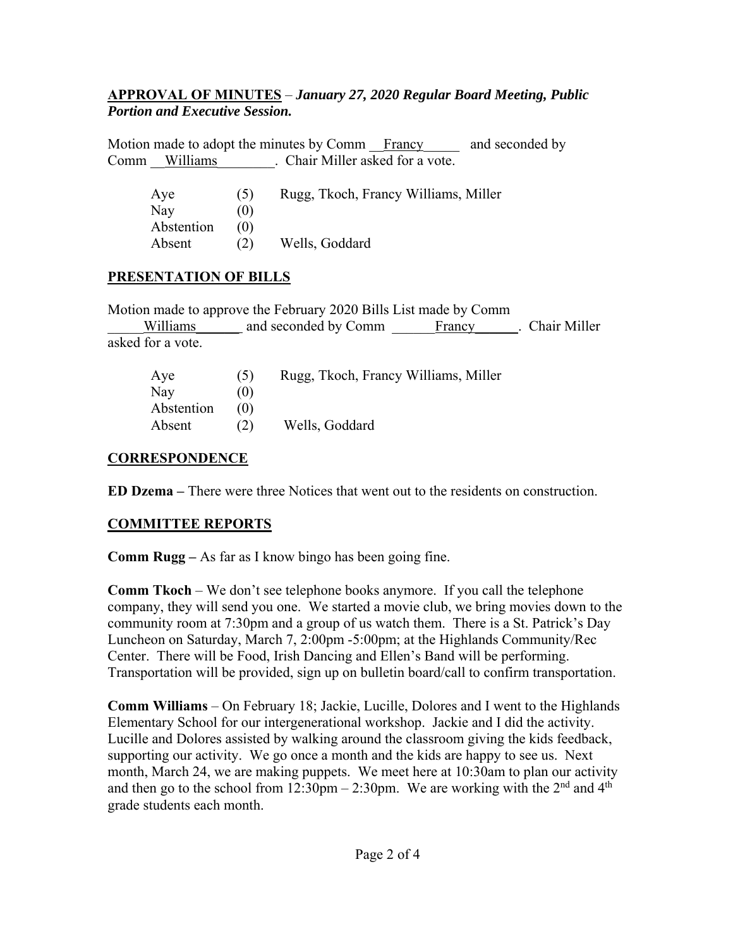### **APPROVAL OF MINUTES** – *January 27, 2020 Regular Board Meeting, Public Portion and Executive Session.*

Motion made to adopt the minutes by Comm Francy and seconded by Comm Williams Chair Miller asked for a vote.

| Aye        | (5) | Rugg, Tkoch, Francy Williams, Miller |
|------------|-----|--------------------------------------|
| Nay        | (0) |                                      |
| Abstention | (0) |                                      |
| Absent     | (2) | Wells, Goddard                       |

# **PRESENTATION OF BILLS**

Motion made to approve the February 2020 Bills List made by Comm Williams and seconded by Comm Francy Francy . Chair Miller asked for a vote.

| Aye        |     | Rugg, Tkoch, Francy Williams, Miller |
|------------|-----|--------------------------------------|
| Nay        | (0) |                                      |
| Abstention | (O) |                                      |
| Absent     | (2) | Wells, Goddard                       |

# **CORRESPONDENCE**

**ED Dzema –** There were three Notices that went out to the residents on construction.

# **COMMITTEE REPORTS**

**Comm Rugg –** As far as I know bingo has been going fine.

**Comm Tkoch** – We don't see telephone books anymore. If you call the telephone company, they will send you one. We started a movie club, we bring movies down to the community room at 7:30pm and a group of us watch them. There is a St. Patrick's Day Luncheon on Saturday, March 7, 2:00pm -5:00pm; at the Highlands Community/Rec Center. There will be Food, Irish Dancing and Ellen's Band will be performing. Transportation will be provided, sign up on bulletin board/call to confirm transportation.

**Comm Williams** – On February 18; Jackie, Lucille, Dolores and I went to the Highlands Elementary School for our intergenerational workshop. Jackie and I did the activity. Lucille and Dolores assisted by walking around the classroom giving the kids feedback, supporting our activity. We go once a month and the kids are happy to see us. Next month, March 24, we are making puppets. We meet here at 10:30am to plan our activity and then go to the school from  $12:30 \text{pm} - 2:30 \text{pm}$ . We are working with the 2<sup>nd</sup> and 4<sup>th</sup> grade students each month.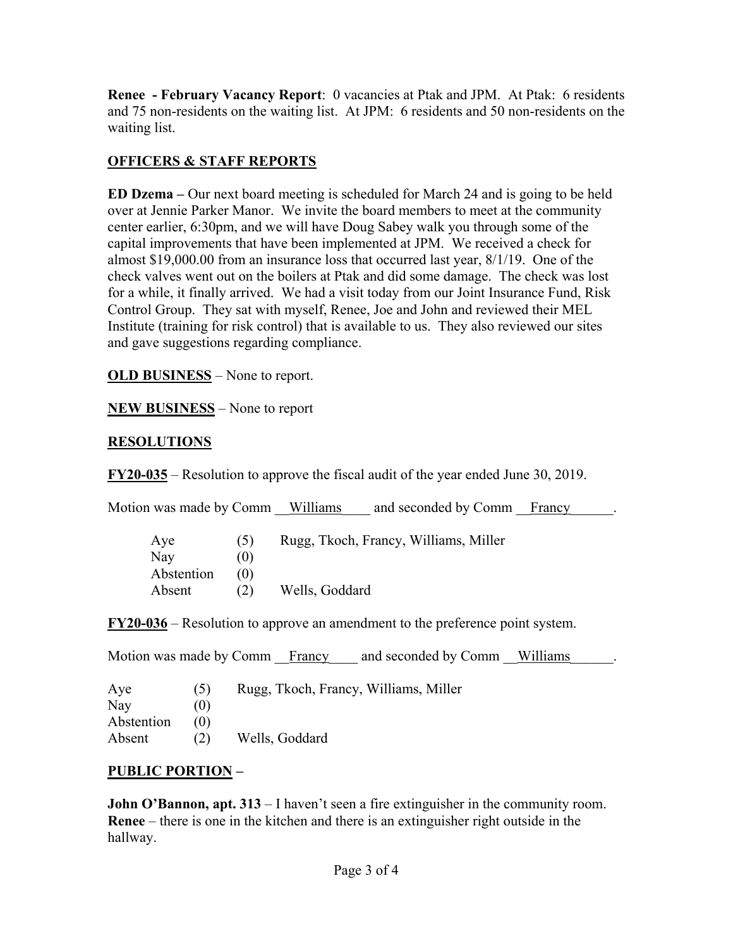**Renee - February Vacancy Report**: 0 vacancies at Ptak and JPM. At Ptak: 6 residents and 75 non-residents on the waiting list. At JPM: 6 residents and 50 non-residents on the waiting list.

# **OFFICERS & STAFF REPORTS**

**ED Dzema** – Our next board meeting is scheduled for March 24 and is going to be held over at Jennie Parker Manor. We invite the board members to meet at the community center earlier, 6:30pm, and we will have Doug Sabey walk you through some of the capital improvements that have been implemented at JPM. We received a check for almost \$19,000.00 from an insurance loss that occurred last year, 8/1/19. One of the check valves went out on the boilers at Ptak and did some damage. The check was lost for a while, it finally arrived. We had a visit today from our Joint Insurance Fund, Risk Control Group. They sat with myself, Renee, Joe and John and reviewed their MEL Institute (training for risk control) that is available to us. They also reviewed our sites and gave suggestions regarding compliance.

**OLD BUSINESS** – None to report.

**NEW BUSINESS** – None to report

# **RESOLUTIONS**

**FY20-035** – Resolution to approve the fiscal audit of the year ended June 30, 2019.

| Motion was made by Comm |         | Williams       | and seconded by Comm                  | Francy |
|-------------------------|---------|----------------|---------------------------------------|--------|
| Aye                     | $\circ$ |                | Rugg, Tkoch, Francy, Williams, Miller |        |
| Nay                     | (0)     |                |                                       |        |
| Abstention              | (0)     |                |                                       |        |
| Absent                  | (2)     | Wells, Goddard |                                       |        |
|                         |         |                |                                       |        |

**FY20-036** – Resolution to approve an amendment to the preference point system.

|            |     | Motion was made by Comm Francy<br>and seconded by Comm Williams |
|------------|-----|-----------------------------------------------------------------|
| Aye        | (5) | Rugg, Tkoch, Francy, Williams, Miller                           |
| Nay        | (U) |                                                                 |
| Abstention | (0) |                                                                 |
| Absent     | (2) | Wells, Goddard                                                  |

# **PUBLIC PORTION –**

**John O'Bannon, apt. 313** – I haven't seen a fire extinguisher in the community room. **Renee** – there is one in the kitchen and there is an extinguisher right outside in the hallway.